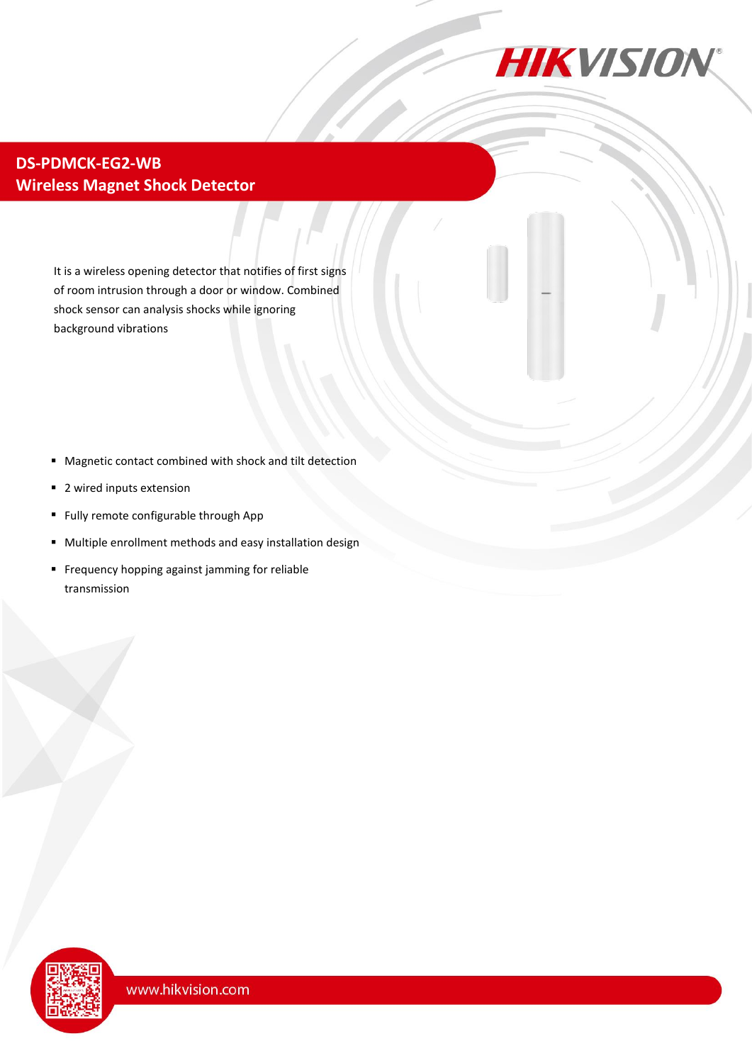

#### **DS-PDMCK-EG2-WB Wireless Magnet Shock Detector**

It is a wireless opening detector that notifies of first signs of room intrusion through a door or window. Combined shock sensor can analysis shocks while ignoring background vibrations

- Magnetic contact combined with shock and tilt detection
- 2 wired inputs extension
- **Fully remote configurable through App**
- Multiple enrollment methods and easy installation design
- **Frequency hopping against jamming for reliable** transmission

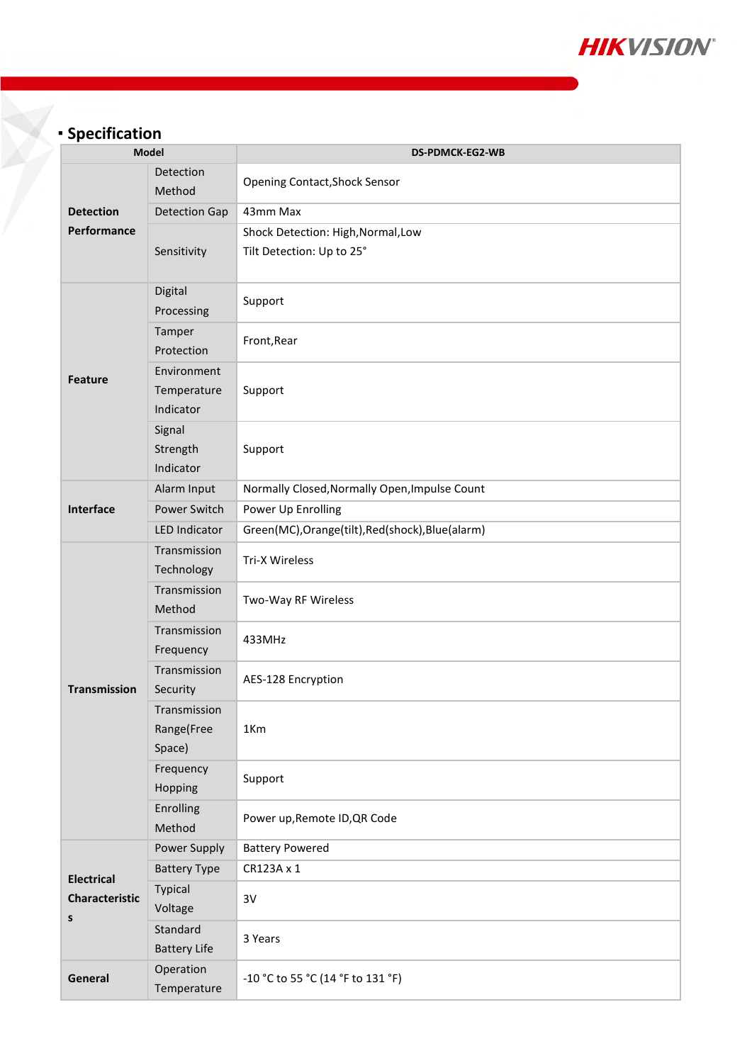

# **Specification**

| <b>Model</b>                                    |                                         | <b>DS-PDMCK-EG2-WB</b>                                          |
|-------------------------------------------------|-----------------------------------------|-----------------------------------------------------------------|
| <b>Detection</b><br>Performance                 | Detection<br>Method                     | <b>Opening Contact, Shock Sensor</b>                            |
|                                                 | <b>Detection Gap</b>                    | 43mm Max                                                        |
|                                                 | Sensitivity                             | Shock Detection: High, Normal, Low<br>Tilt Detection: Up to 25° |
| <b>Feature</b>                                  | Digital<br>Processing                   | Support                                                         |
|                                                 | Tamper<br>Protection                    | Front, Rear                                                     |
|                                                 | Environment<br>Temperature<br>Indicator | Support                                                         |
|                                                 | Signal<br>Strength<br>Indicator         | Support                                                         |
| <b>Interface</b>                                | Alarm Input                             | Normally Closed, Normally Open, Impulse Count                   |
|                                                 | Power Switch                            | Power Up Enrolling                                              |
|                                                 | <b>LED Indicator</b>                    | Green(MC), Orange(tilt), Red(shock), Blue(alarm)                |
| <b>Transmission</b>                             | Transmission<br>Technology              | Tri-X Wireless                                                  |
|                                                 | Transmission<br>Method                  | Two-Way RF Wireless                                             |
|                                                 | Transmission<br>Frequency               | 433MHz                                                          |
|                                                 | Transmission<br>Security                | AES-128 Encryption                                              |
|                                                 | Transmission<br>Range(Free<br>Space)    | 1Km                                                             |
|                                                 | Frequency<br>Hopping                    | Support                                                         |
|                                                 | Enrolling<br>Method                     | Power up, Remote ID, QR Code                                    |
| <b>Electrical</b><br><b>Characteristic</b><br>S | Power Supply                            | <b>Battery Powered</b>                                          |
|                                                 | <b>Battery Type</b>                     | CR123A x 1                                                      |
|                                                 | Typical<br>Voltage                      | 3V                                                              |
|                                                 | Standard<br><b>Battery Life</b>         | 3 Years                                                         |
| General                                         | Operation<br>Temperature                | -10 °C to 55 °C (14 °F to 131 °F)                               |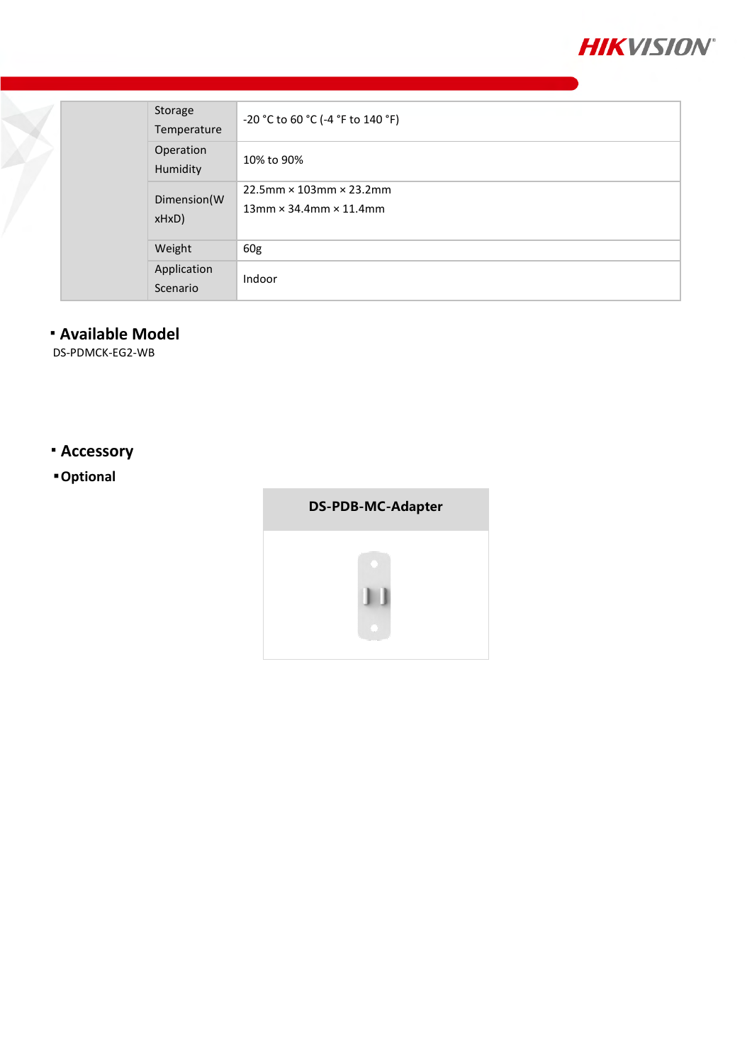

|  | Storage<br>Temperature  | -20 °C to 60 °C (-4 °F to 140 °F)                                     |
|--|-------------------------|-----------------------------------------------------------------------|
|  | Operation<br>Humidity   | 10% to 90%                                                            |
|  | Dimension(W<br>$xHxD$ ) | $22.5$ mm × 103mm × 23.2mm<br>$13$ mm $\times$ 34.4mm $\times$ 11.4mm |
|  | Weight                  | 60g                                                                   |
|  | Application<br>Scenario | Indoor                                                                |

## **Available Model**

DS-PDMCK-EG2-WB

### **Accessory**

### **Optional**